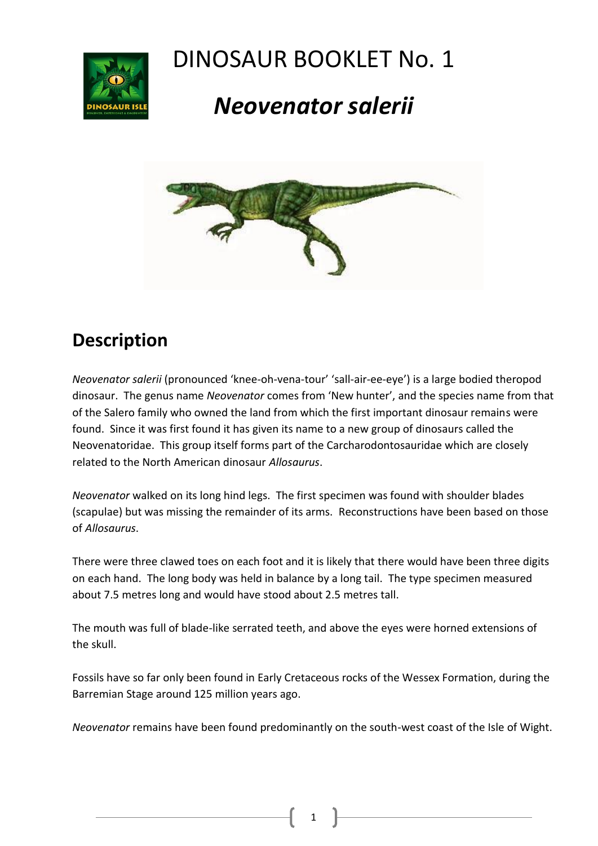

## DINOSAUR BOOKLET No. 1

# *Neovenator salerii*



### **Description**

*Neovenator salerii* (pronounced 'knee-oh-vena-tour' 'sall-air-ee-eye') is a large bodied theropod dinosaur. The genus name *Neovenator* comes from 'New hunter', and the species name from that of the Salero family who owned the land from which the first important dinosaur remains were found. Since it was first found it has given its name to a new group of dinosaurs called the Neovenatoridae. This group itself forms part of the Carcharodontosauridae which are closely related to the North American dinosaur *Allosaurus*.

*Neovenator* walked on its long hind legs. The first specimen was found with shoulder blades (scapulae) but was missing the remainder of its arms. Reconstructions have been based on those of *Allosaurus*.

There were three clawed toes on each foot and it is likely that there would have been three digits on each hand. The long body was held in balance by a long tail. The type specimen measured about 7.5 metres long and would have stood about 2.5 metres tall.

The mouth was full of blade-like serrated teeth, and above the eyes were horned extensions of the skull.

Fossils have so far only been found in Early Cretaceous rocks of the Wessex Formation, during the Barremian Stage around 125 million years ago.

*Neovenator* remains have been found predominantly on the south-west coast of the Isle of Wight.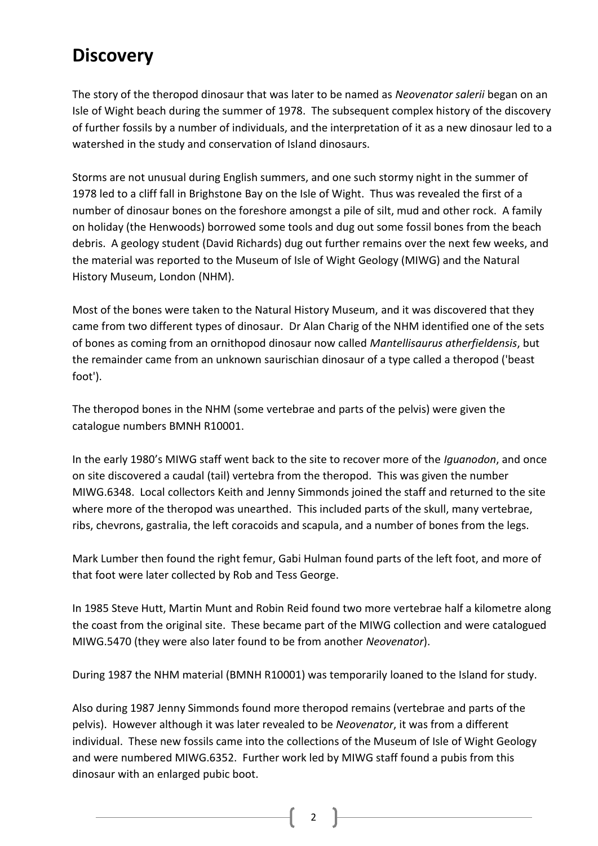### **Discovery**

The story of the theropod dinosaur that was later to be named as *Neovenator salerii* began on an Isle of Wight beach during the summer of 1978. The subsequent complex history of the discovery of further fossils by a number of individuals, and the interpretation of it as a new dinosaur led to a watershed in the study and conservation of Island dinosaurs.

Storms are not unusual during English summers, and one such stormy night in the summer of 1978 led to a cliff fall in Brighstone Bay on the Isle of Wight. Thus was revealed the first of a number of dinosaur bones on the foreshore amongst a pile of silt, mud and other rock. A family on holiday (the Henwoods) borrowed some tools and dug out some fossil bones from the beach debris. A geology student (David Richards) dug out further remains over the next few weeks, and the material was reported to the Museum of Isle of Wight Geology (MIWG) and the Natural History Museum, London (NHM).

Most of the bones were taken to the Natural History Museum, and it was discovered that they came from two different types of dinosaur. Dr Alan Charig of the NHM identified one of the sets of bones as coming from an ornithopod dinosaur now called *Mantellisaurus atherfieldensis*, but the remainder came from an unknown saurischian dinosaur of a type called a theropod ('beast foot').

The theropod bones in the NHM (some vertebrae and parts of the pelvis) were given the catalogue numbers BMNH R10001.

In the early 1980's MIWG staff went back to the site to recover more of the *Iguanodon*, and once on site discovered a caudal (tail) vertebra from the theropod. This was given the number MIWG.6348. Local collectors Keith and Jenny Simmonds joined the staff and returned to the site where more of the theropod was unearthed. This included parts of the skull, many vertebrae, ribs, chevrons, gastralia, the left coracoids and scapula, and a number of bones from the legs.

Mark Lumber then found the right femur, Gabi Hulman found parts of the left foot, and more of that foot were later collected by Rob and Tess George.

In 1985 Steve Hutt, Martin Munt and Robin Reid found two more vertebrae half a kilometre along the coast from the original site. These became part of the MIWG collection and were catalogued MIWG.5470 (they were also later found to be from another *Neovenator*).

During 1987 the NHM material (BMNH R10001) was temporarily loaned to the Island for study.

Also during 1987 Jenny Simmonds found more theropod remains (vertebrae and parts of the pelvis). However although it was later revealed to be *Neovenator*, it was from a different individual. These new fossils came into the collections of the Museum of Isle of Wight Geology and were numbered MIWG.6352. Further work led by MIWG staff found a pubis from this dinosaur with an enlarged pubic boot.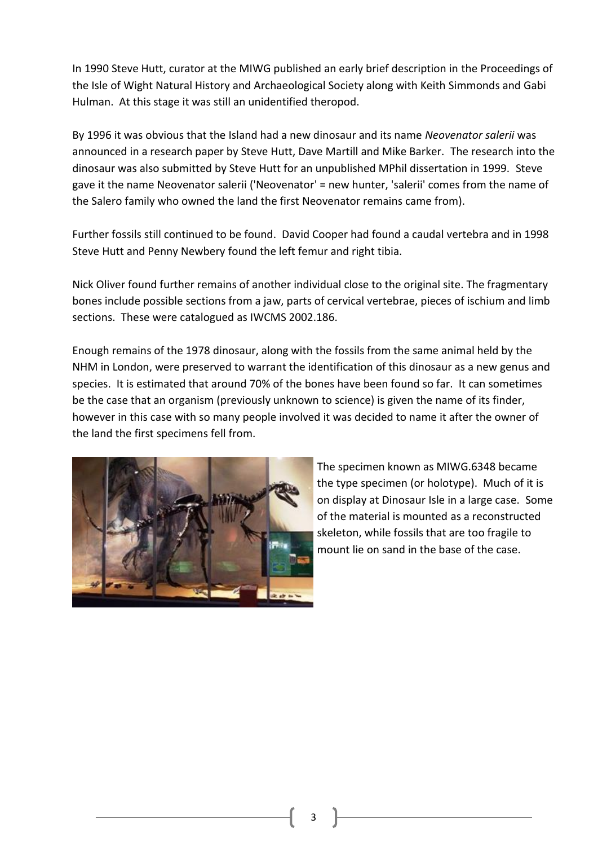In 1990 Steve Hutt, curator at the MIWG published an early brief description in the Proceedings of the Isle of Wight Natural History and Archaeological Society along with Keith Simmonds and Gabi Hulman. At this stage it was still an unidentified theropod.

By 1996 it was obvious that the Island had a new dinosaur and its name *Neovenator salerii* was announced in a research paper by Steve Hutt, Dave Martill and Mike Barker. The research into the dinosaur was also submitted by Steve Hutt for an unpublished MPhil dissertation in 1999. Steve gave it the name Neovenator salerii ('Neovenator' = new hunter, 'salerii' comes from the name of the Salero family who owned the land the first Neovenator remains came from).

Further fossils still continued to be found. David Cooper had found a caudal vertebra and in 1998 Steve Hutt and Penny Newbery found the left femur and right tibia.

Nick Oliver found further remains of another individual close to the original site. The fragmentary bones include possible sections from a jaw, parts of cervical vertebrae, pieces of ischium and limb sections. These were catalogued as IWCMS 2002.186.

Enough remains of the 1978 dinosaur, along with the fossils from the same animal held by the NHM in London, were preserved to warrant the identification of this dinosaur as a new genus and species. It is estimated that around 70% of the bones have been found so far. It can sometimes be the case that an organism (previously unknown to science) is given the name of its finder, however in this case with so many people involved it was decided to name it after the owner of the land the first specimens fell from.



The specimen known as MIWG.6348 became the type specimen (or holotype). Much of it is on display at Dinosaur Isle in a large case. Some of the material is mounted as a reconstructed skeleton, while fossils that are too fragile to mount lie on sand in the base of the case.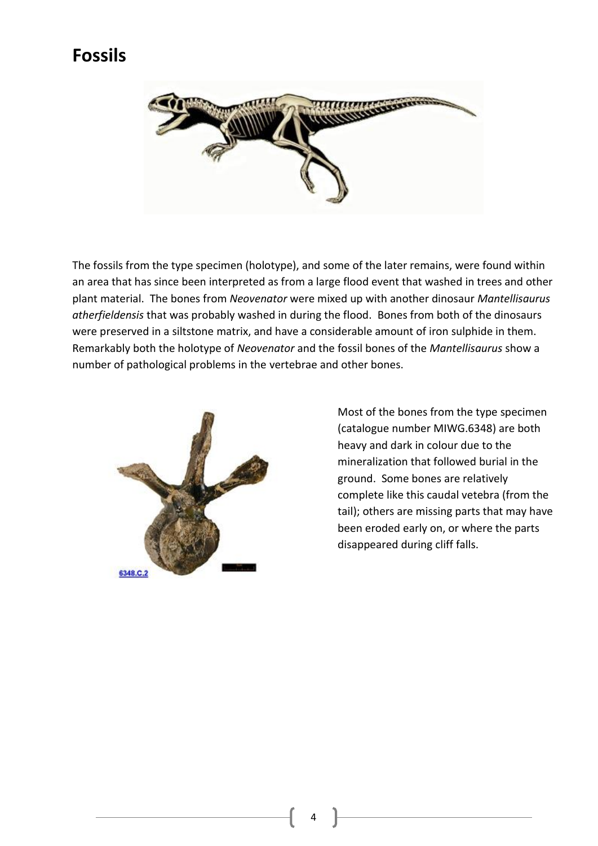### **Fossils**



The fossils from the type specimen (holotype), and some of the later remains, were found within an area that has since been interpreted as from a large flood event that washed in trees and other plant material. The bones from *Neovenator* were mixed up with another dinosaur *Mantellisaurus atherfieldensis* that was probably washed in during the flood. Bones from both of the dinosaurs were preserved in a siltstone matrix, and have a considerable amount of iron sulphide in them. Remarkably both the holotype of *Neovenator* and the fossil bones of the *Mantellisaurus* show a number of pathological problems in the vertebrae and other bones.



Most of the bones from the type specimen (catalogue number MIWG.6348) are both heavy and dark in colour due to the mineralization that followed burial in the ground. Some bones are relatively complete like this caudal vetebra (from the tail); others are missing parts that may have been eroded early on, or where the parts disappeared during cliff falls.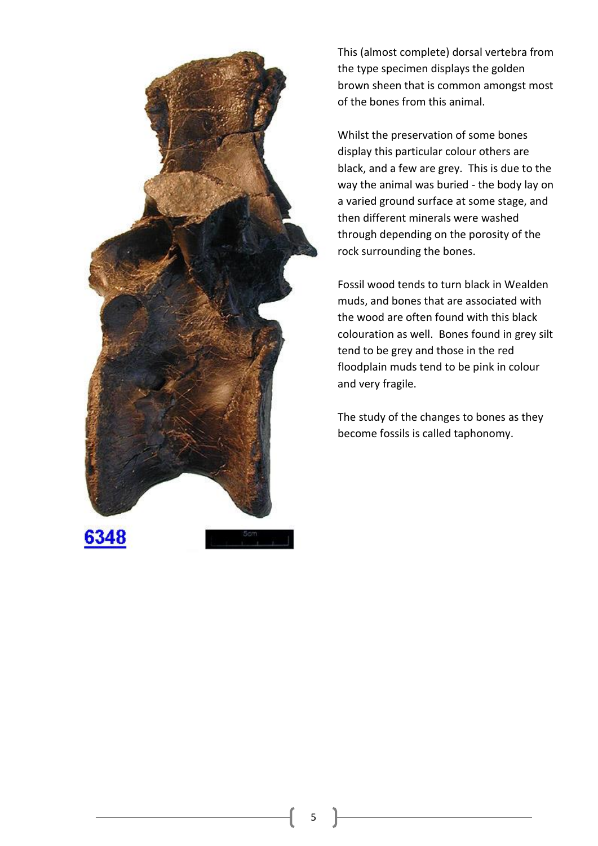

This (almost complete) dorsal vertebra from the type specimen displays the golden brown sheen that is common amongst most of the bones from this animal.

Whilst the preservation of some bones display this particular colour others are black, and a few are grey. This is due to the way the animal was buried - the body lay on a varied ground surface at some stage, and then different minerals were washed through depending on the porosity of the rock surrounding the bones.

Fossil wood tends to turn black in Wealden muds, and bones that are associated with the wood are often found with this black colouration as well. Bones found in grey silt tend to be grey and those in the red floodplain muds tend to be pink in colour and very fragile.

The study of the changes to bones as they become fossils is called taphonomy.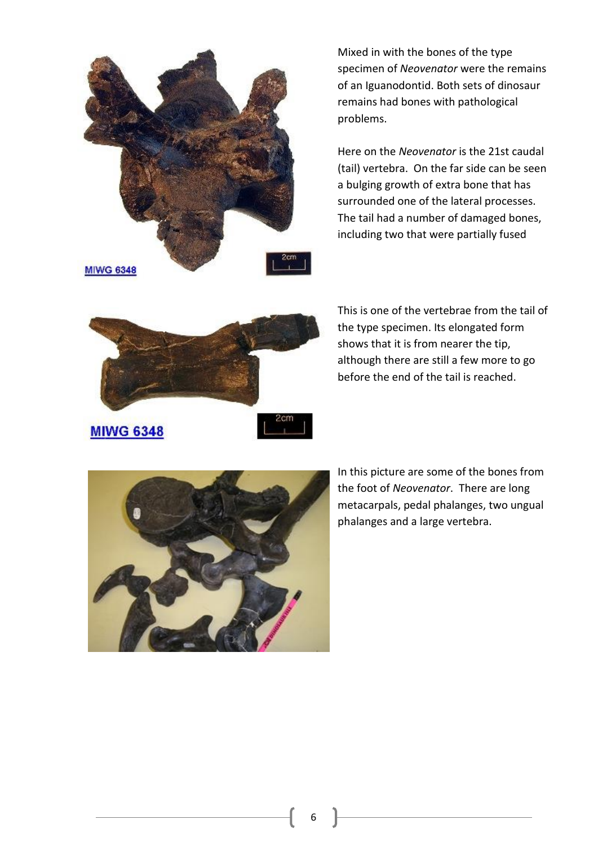

Mixed in with the bones of the type specimen of *Neovenator* were the remains of an Iguanodontid. Both sets of dinosaur remains had bones with pathological problems.

Here on the *Neovenator* is the 21st caudal (tail) vertebra. On the far side can be seen a bulging growth of extra bone that has surrounded one of the lateral processes. The tail had a number of damaged bones, including two that were partially fused



This is one of the vertebrae from the tail of the type specimen. Its elongated form shows that it is from nearer the tip, although there are still a few more to go before the end of the tail is reached.



In this picture are some of the bones from the foot of *Neovenator*. There are long metacarpals, pedal phalanges, two ungual phalanges and a large vertebra.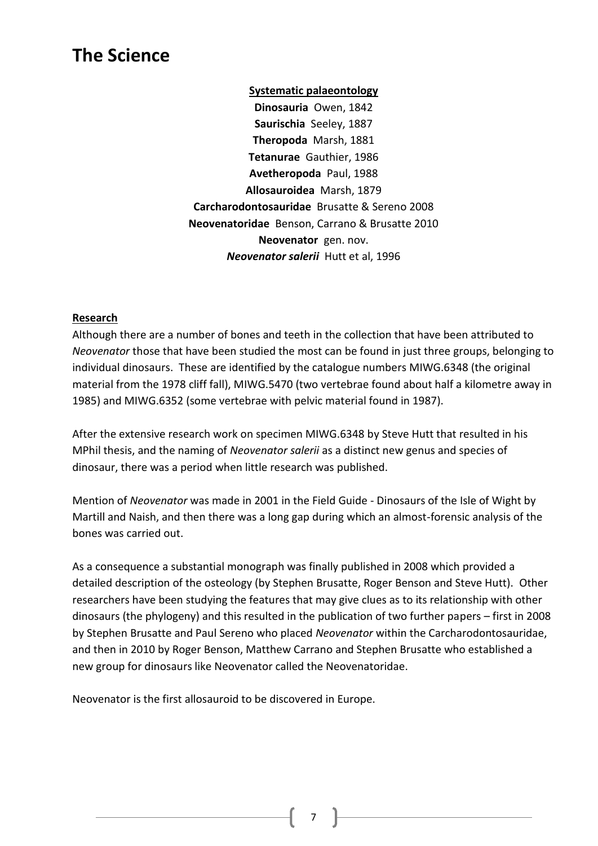### **The Science**

**Systematic palaeontology Dinosauria** Owen, 1842 **Saurischia** Seeley, 1887 **Theropoda** Marsh, 1881 **Tetanurae** Gauthier, 1986 **Avetheropoda** Paul, 1988 **Allosauroidea** Marsh, 1879 **Carcharodontosauridae** Brusatte & Sereno 2008 **Neovenatoridae** Benson, Carrano & Brusatte 2010 **Neovenator** gen. nov. *Neovenator salerii* Hutt et al, 1996

#### **Research**

Although there are a number of bones and teeth in the collection that have been attributed to *Neovenator* those that have been studied the most can be found in just three groups, belonging to individual dinosaurs. These are identified by the catalogue numbers MIWG.6348 (the original material from the 1978 cliff fall), MIWG.5470 (two vertebrae found about half a kilometre away in 1985) and MIWG.6352 (some vertebrae with pelvic material found in 1987).

After the extensive research work on specimen MIWG.6348 by Steve Hutt that resulted in his MPhil thesis, and the naming of *Neovenator salerii* as a distinct new genus and species of dinosaur, there was a period when little research was published.

Mention of *Neovenator* was made in 2001 in the Field Guide - Dinosaurs of the Isle of Wight by Martill and Naish, and then there was a long gap during which an almost-forensic analysis of the bones was carried out.

As a consequence a substantial monograph was finally published in 2008 which provided a detailed description of the osteology (by Stephen Brusatte, Roger Benson and Steve Hutt). Other researchers have been studying the features that may give clues as to its relationship with other dinosaurs (the phylogeny) and this resulted in the publication of two further papers – first in 2008 by Stephen Brusatte and Paul Sereno who placed *Neovenator* within the Carcharodontosauridae, and then in 2010 by Roger Benson, Matthew Carrano and Stephen Brusatte who established a new group for dinosaurs like Neovenator called the Neovenatoridae.

Neovenator is the first allosauroid to be discovered in Europe.

7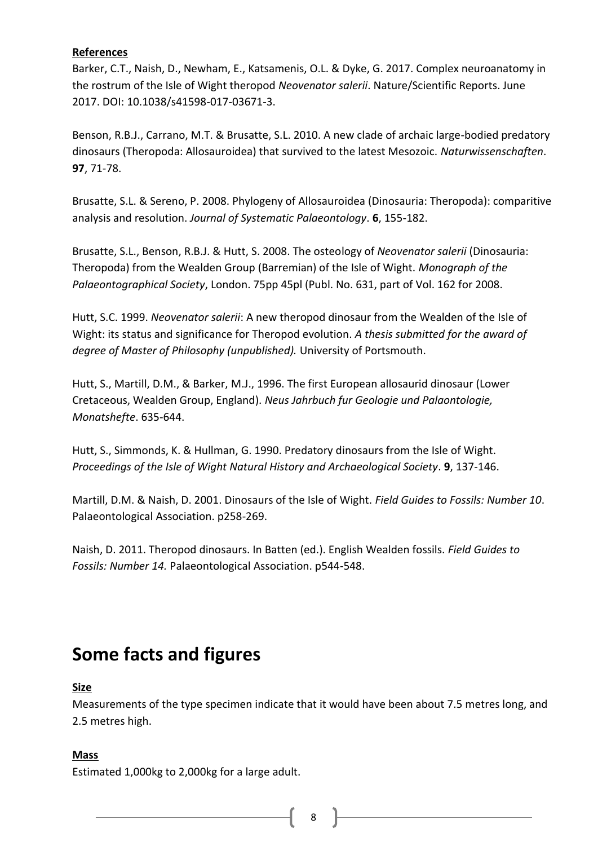#### **References**

Barker, C.T., Naish, D., Newham, E., Katsamenis, O.L. & Dyke, G. 2017. Complex neuroanatomy in the rostrum of the Isle of Wight theropod *Neovenator salerii*. Nature/Scientific Reports. June 2017. DOI: 10.1038/s41598-017-03671-3.

Benson, R.B.J., Carrano, M.T. & Brusatte, S.L. 2010. A new clade of archaic large-bodied predatory dinosaurs (Theropoda: Allosauroidea) that survived to the latest Mesozoic. *Naturwissenschaften*. **97**, 71-78.

Brusatte, S.L. & Sereno, P. 2008. Phylogeny of Allosauroidea (Dinosauria: Theropoda): comparitive analysis and resolution. *Journal of Systematic Palaeontology*. **6**, 155-182.

Brusatte, S.L., Benson, R.B.J. & Hutt, S. 2008. The osteology of *Neovenator salerii* (Dinosauria: Theropoda) from the Wealden Group (Barremian) of the Isle of Wight. *Monograph of the Palaeontographical Society*, London. 75pp 45pl (Publ. No. 631, part of Vol. 162 for 2008.

Hutt, S.C. 1999. *Neovenator salerii*: A new theropod dinosaur from the Wealden of the Isle of Wight: its status and significance for Theropod evolution. *A thesis submitted for the award of degree of Master of Philosophy (unpublished).* University of Portsmouth.

Hutt, S., Martill, D.M., & Barker, M.J., 1996. The first European allosaurid dinosaur (Lower Cretaceous, Wealden Group, England). *Neus Jahrbuch fur Geologie und Palaontologie, Monatshefte*. 635-644.

Hutt, S., Simmonds, K. & Hullman, G. 1990. Predatory dinosaurs from the Isle of Wight. *Proceedings of the Isle of Wight Natural History and Archaeological Society*. **9**, 137-146.

Martill, D.M. & Naish, D. 2001. Dinosaurs of the Isle of Wight. *Field Guides to Fossils: Number 10*. Palaeontological Association. p258-269.

Naish, D. 2011. Theropod dinosaurs. In Batten (ed.). English Wealden fossils. *Field Guides to Fossils: Number 14.* Palaeontological Association. p544-548.

### **Some facts and figures**

#### **Size**

Measurements of the type specimen indicate that it would have been about 7.5 metres long, and 2.5 metres high.

#### **Mass**

Estimated 1,000kg to 2,000kg for a large adult.

8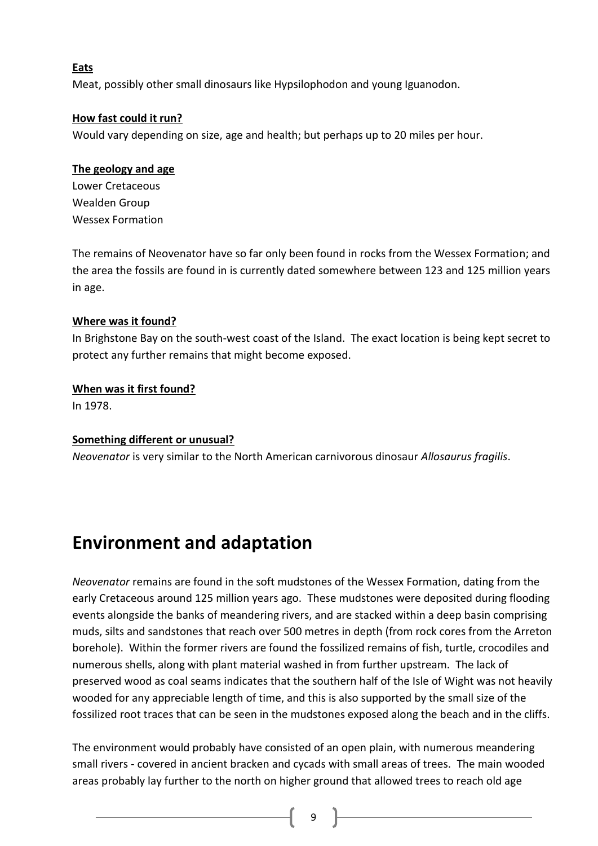#### **Eats**

Meat, possibly other small dinosaurs like Hypsilophodon and young Iguanodon.

#### **How fast could it run?**

Would vary depending on size, age and health; but perhaps up to 20 miles per hour.

#### **The geology and age**

Lower Cretaceous Wealden Group Wessex Formation

The remains of Neovenator have so far only been found in rocks from the Wessex Formation; and the area the fossils are found in is currently dated somewhere between 123 and 125 million years in age.

#### **Where was it found?**

In Brighstone Bay on the south-west coast of the Island. The exact location is being kept secret to protect any further remains that might become exposed.

#### **When was it first found?**

In 1978.

#### **Something different or unusual?**

*Neovenator* is very similar to the North American carnivorous dinosaur *Allosaurus fragilis*.

### **Environment and adaptation**

*Neovenator* remains are found in the soft mudstones of the Wessex Formation, dating from the early Cretaceous around 125 million years ago. These mudstones were deposited during flooding events alongside the banks of meandering rivers, and are stacked within a deep basin comprising muds, silts and sandstones that reach over 500 metres in depth (from rock cores from the Arreton borehole). Within the former rivers are found the fossilized remains of fish, turtle, crocodiles and numerous shells, along with plant material washed in from further upstream. The lack of preserved wood as coal seams indicates that the southern half of the Isle of Wight was not heavily wooded for any appreciable length of time, and this is also supported by the small size of the fossilized root traces that can be seen in the mudstones exposed along the beach and in the cliffs.

The environment would probably have consisted of an open plain, with numerous meandering small rivers - covered in ancient bracken and cycads with small areas of trees. The main wooded areas probably lay further to the north on higher ground that allowed trees to reach old age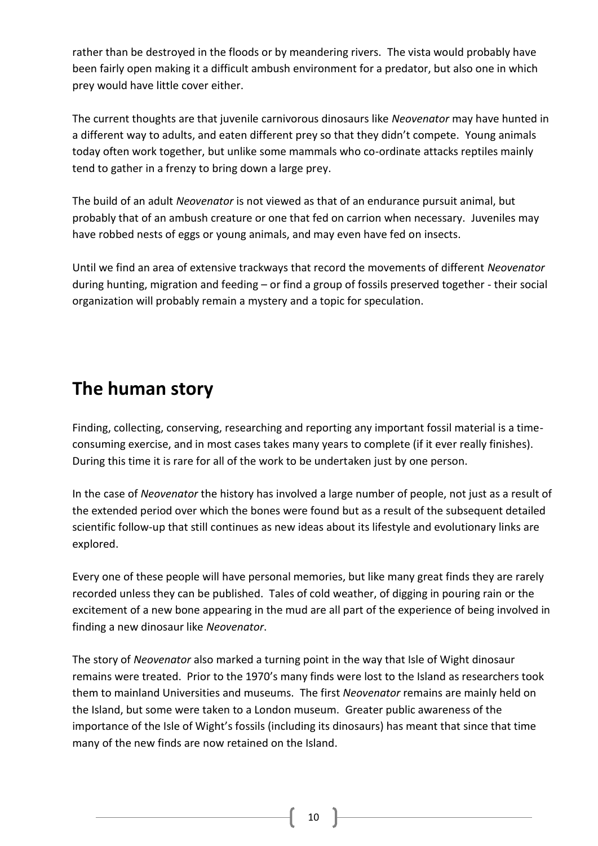rather than be destroyed in the floods or by meandering rivers. The vista would probably have been fairly open making it a difficult ambush environment for a predator, but also one in which prey would have little cover either.

The current thoughts are that juvenile carnivorous dinosaurs like *Neovenator* may have hunted in a different way to adults, and eaten different prey so that they didn't compete. Young animals today often work together, but unlike some mammals who co-ordinate attacks reptiles mainly tend to gather in a frenzy to bring down a large prey.

The build of an adult *Neovenator* is not viewed as that of an endurance pursuit animal, but probably that of an ambush creature or one that fed on carrion when necessary. Juveniles may have robbed nests of eggs or young animals, and may even have fed on insects.

Until we find an area of extensive trackways that record the movements of different *Neovenator* during hunting, migration and feeding – or find a group of fossils preserved together - their social organization will probably remain a mystery and a topic for speculation.

### **The human story**

Finding, collecting, conserving, researching and reporting any important fossil material is a timeconsuming exercise, and in most cases takes many years to complete (if it ever really finishes). During this time it is rare for all of the work to be undertaken just by one person.

In the case of *Neovenator* the history has involved a large number of people, not just as a result of the extended period over which the bones were found but as a result of the subsequent detailed scientific follow-up that still continues as new ideas about its lifestyle and evolutionary links are explored.

Every one of these people will have personal memories, but like many great finds they are rarely recorded unless they can be published. Tales of cold weather, of digging in pouring rain or the excitement of a new bone appearing in the mud are all part of the experience of being involved in finding a new dinosaur like *Neovenator*.

The story of *Neovenator* also marked a turning point in the way that Isle of Wight dinosaur remains were treated. Prior to the 1970's many finds were lost to the Island as researchers took them to mainland Universities and museums. The first *Neovenator* remains are mainly held on the Island, but some were taken to a London museum. Greater public awareness of the importance of the Isle of Wight's fossils (including its dinosaurs) has meant that since that time many of the new finds are now retained on the Island.